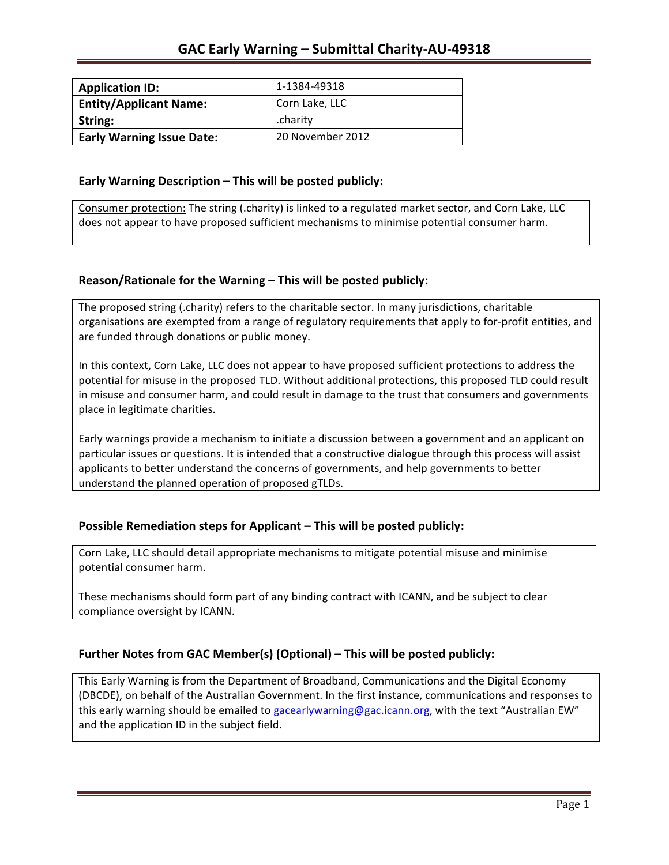| <b>Application ID:</b>           | 1-1384-49318     |
|----------------------------------|------------------|
| <b>Entity/Applicant Name:</b>    | Corn Lake, LLC   |
| String:                          | .charity         |
| <b>Early Warning Issue Date:</b> | 20 November 2012 |

### **Early Warning Description – This will be posted publicly:**

Consumer protection: The string (.charity) is linked to a regulated market sector, and Corn Lake, LLC does not appear to have proposed sufficient mechanisms to minimise potential consumer harm.

## **Reason/Rationale for the Warning – This will be posted publicly:**

The proposed string (.charity) refers to the charitable sector. In many jurisdictions, charitable organisations are exempted from a range of regulatory requirements that apply to for-profit entities, and are funded through donations or public money.

In this context, Corn Lake, LLC does not appear to have proposed sufficient protections to address the potential for misuse in the proposed TLD. Without additional protections, this proposed TLD could result in misuse and consumer harm, and could result in damage to the trust that consumers and governments place in legitimate charities.

Early warnings provide a mechanism to initiate a discussion between a government and an applicant on particular issues or questions. It is intended that a constructive dialogue through this process will assist applicants to better understand the concerns of governments, and help governments to better understand the planned operation of proposed gTLDs.

## **Possible Remediation steps for Applicant – This will be posted publicly:**

Corn Lake, LLC should detail appropriate mechanisms to mitigate potential misuse and minimise potential consumer harm.

These mechanisms should form part of any binding contract with ICANN, and be subject to clear compliance oversight by ICANN.

## Further Notes from GAC Member(s) (Optional) – This will be posted publicly:

This Early Warning is from the Department of Broadband, Communications and the Digital Economy (DBCDE), on behalf of the Australian Government. In the first instance, communications and responses to this early warning should be emailed to gacearlywarning@gac.icann.org, with the text "Australian EW" and the application ID in the subject field.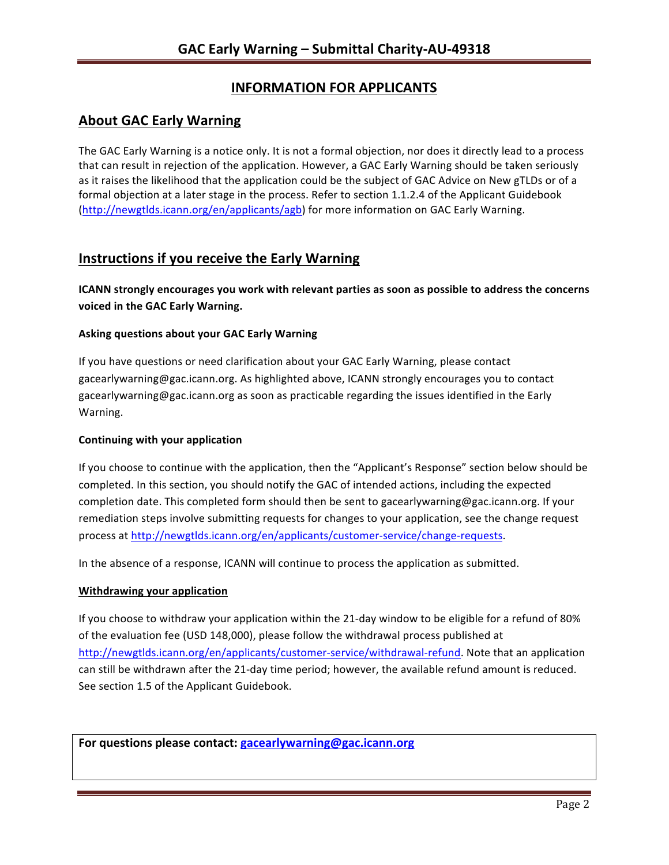# **INFORMATION FOR APPLICANTS**

## **About GAC Early Warning**

The GAC Early Warning is a notice only. It is not a formal objection, nor does it directly lead to a process that can result in rejection of the application. However, a GAC Early Warning should be taken seriously as it raises the likelihood that the application could be the subject of GAC Advice on New gTLDs or of a formal objection at a later stage in the process. Refer to section 1.1.2.4 of the Applicant Guidebook (http://newgtlds.icann.org/en/applicants/agb) for more information on GAC Early Warning.

## **Instructions if you receive the Early Warning**

**ICANN** strongly encourages you work with relevant parties as soon as possible to address the concerns **voiced in the GAC Early Warning.** 

### **Asking questions about your GAC Early Warning**

If you have questions or need clarification about your GAC Early Warning, please contact gacearlywarning@gac.icann.org. As highlighted above, ICANN strongly encourages you to contact gacearlywarning@gac.icann.org as soon as practicable regarding the issues identified in the Early Warning. 

### **Continuing with your application**

If you choose to continue with the application, then the "Applicant's Response" section below should be completed. In this section, you should notify the GAC of intended actions, including the expected completion date. This completed form should then be sent to gacearlywarning@gac.icann.org. If your remediation steps involve submitting requests for changes to your application, see the change request process at http://newgtlds.icann.org/en/applicants/customer-service/change-requests.

In the absence of a response, ICANN will continue to process the application as submitted.

### **Withdrawing your application**

If you choose to withdraw your application within the 21-day window to be eligible for a refund of 80% of the evaluation fee (USD 148,000), please follow the withdrawal process published at http://newgtlds.icann.org/en/applicants/customer-service/withdrawal-refund. Note that an application can still be withdrawn after the 21-day time period; however, the available refund amount is reduced. See section 1.5 of the Applicant Guidebook.

For questions please contact: gacearlywarning@gac.icann.org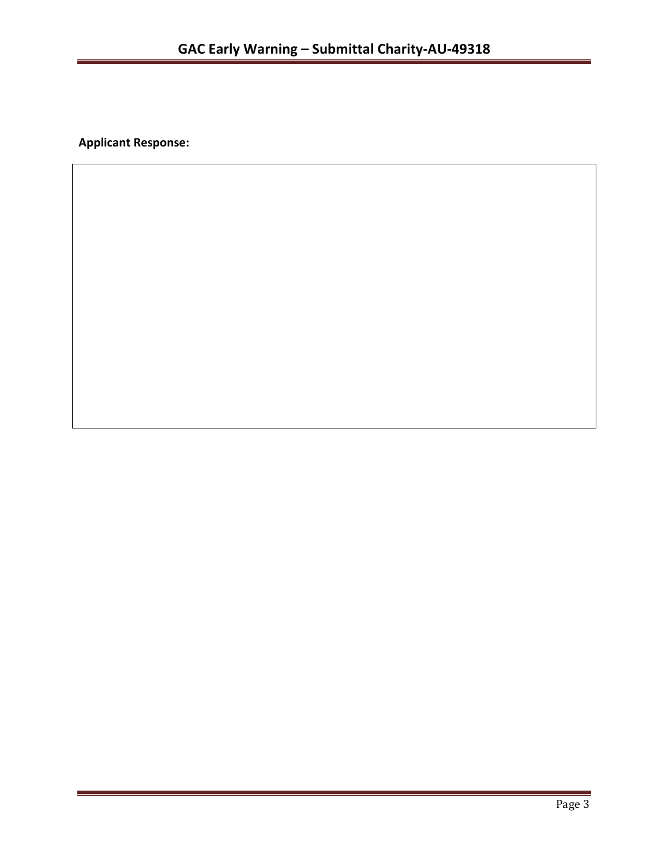**Applicant Response:**